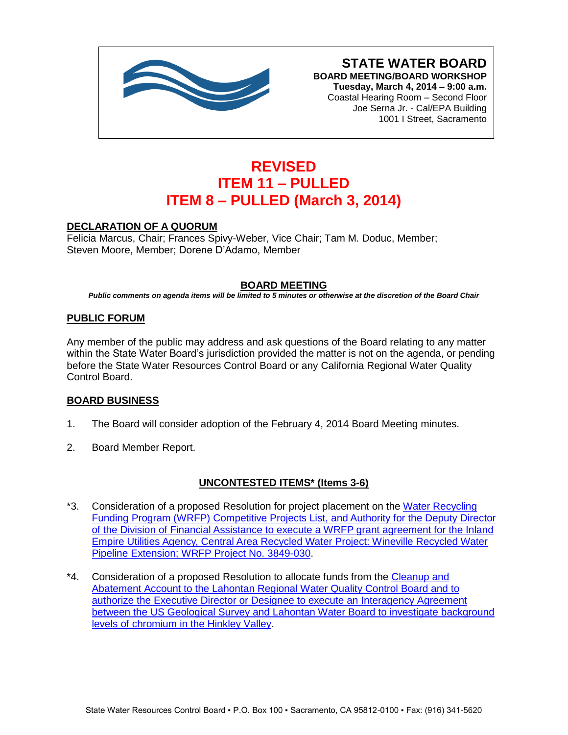

**STATE WATER BOARD BOARD MEETING/BOARD WORKSHOP Tuesday, March 4, 2014 – 9:00 a.m.** Coastal Hearing Room – Second Floor Joe Serna Jr. - Cal/EPA Building 1001 I Street, Sacramento

# **REVISED ITEM 11 – PULLED ITEM 8 – PULLED (March 3, 2014)**

### **DECLARATION OF A QUORUM**

Felicia Marcus, Chair; Frances Spivy-Weber, Vice Chair; Tam M. Doduc, Member; Steven Moore, Member; Dorene D'Adamo, Member

### **BOARD MEETING**

*Public comments on agenda items will be limited to 5 minutes or otherwise at the discretion of the Board Chair*

#### **PUBLIC FORUM**

Any member of the public may address and ask questions of the Board relating to any matter within the State Water Board's jurisdiction provided the matter is not on the agenda, or pending before the State Water Resources Control Board or any California Regional Water Quality Control Board.

### **BOARD BUSINESS**

- 1. The Board will consider adoption of the February 4, 2014 Board Meeting minutes.
- 2. Board Member Report.

### **UNCONTESTED ITEMS\* (Items 3-6)**

- \*3. Consideration of a proposed Resolution for project placement on the [Water Recycling](http://www.waterboards.ca.gov/board_info/agendas/2014/mar/030414_3_with_draft_res.pdf)  [Funding Program \(WRFP\) Competitive Projects List, and Authority for the Deputy Director](http://www.waterboards.ca.gov/board_info/agendas/2014/mar/030414_3_with_draft_res.pdf)  [of the Division of Financial Assistance to execute a WRFP grant agreement for the Inland](http://www.waterboards.ca.gov/board_info/agendas/2014/mar/030414_3_with_draft_res.pdf)  [Empire Utilities Agency, Central Area Recycled Water Project: Wineville Recycled Water](http://www.waterboards.ca.gov/board_info/agendas/2014/mar/030414_3_with_draft_res.pdf)  [Pipeline Extension; WRFP Project No. 3849-030.](http://www.waterboards.ca.gov/board_info/agendas/2014/mar/030414_3_with_draft_res.pdf)
- \*4. Consideration of a proposed Resolution to allocate funds from the Cleanup and [Abatement Account to the Lahontan Regional Water Quality Control Board and to](http://www.waterboards.ca.gov/board_info/agendas/2014/mar/030414_4_with_draft_res.pdf)  [authorize the Executive Director or Designee to execute an Interagency Agreement](http://www.waterboards.ca.gov/board_info/agendas/2014/mar/030414_4_with_draft_res.pdf)  [between the US Geological Survey and Lahontan Water Board to investigate background](http://www.waterboards.ca.gov/board_info/agendas/2014/mar/030414_4_with_draft_res.pdf)  [levels of chromium in the Hinkley Valley.](http://www.waterboards.ca.gov/board_info/agendas/2014/mar/030414_4_with_draft_res.pdf)